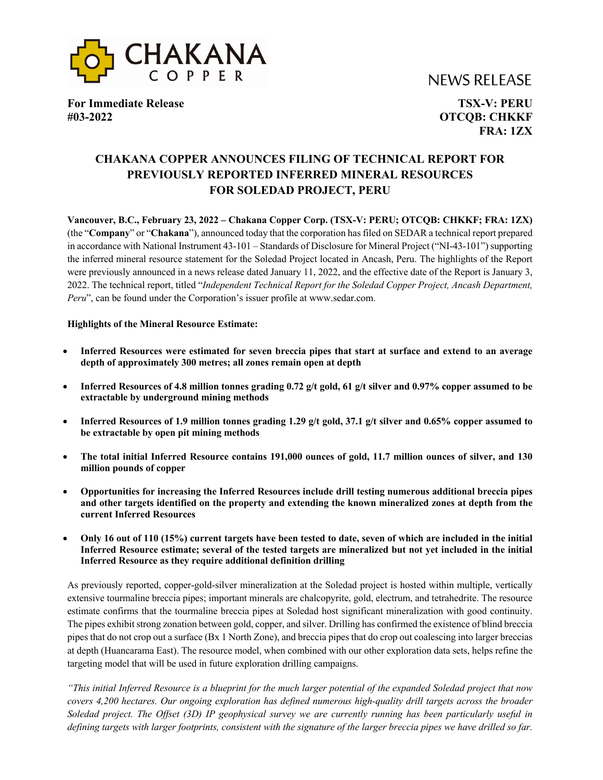



**For Immediate Release TSX-V: PERU #03-2022 OTCQB: CHKKF**

**FRA: 1ZX**

# **CHAKANA COPPER ANNOUNCES FILING OF TECHNICAL REPORT FOR PREVIOUSLY REPORTED INFERRED MINERAL RESOURCES FOR SOLEDAD PROJECT, PERU**

**Vancouver, B.C., February 23, 2022 – Chakana Copper Corp. (TSX-V: PERU; OTCQB: CHKKF; FRA: 1ZX)**  (the "**Company**" or "**Chakana**"), announced today that the corporation has filed on SEDAR a technical report prepared in accordance with National Instrument 43-101 – Standards of Disclosure for Mineral Project ("NI-43-101") supporting the inferred mineral resource statement for the Soledad Project located in Ancash, Peru. The highlights of the Report were previously announced in a news release dated January 11, 2022, and the effective date of the Report is January 3, 2022. The technical report, titled "*Independent Technical Report for the Soledad Copper Project, Ancash Department, Peru*", can be found under the Corporation's issuer profile at www.sedar.com.

### **Highlights of the Mineral Resource Estimate:**

- **Inferred Resources were estimated for seven breccia pipes that start at surface and extend to an average depth of approximately 300 metres; all zones remain open at depth**
- **Inferred Resources of 4.8 million tonnes grading 0.72 g/t gold, 61 g/t silver and 0.97% copper assumed to be extractable by underground mining methods**
- **Inferred Resources of 1.9 million tonnes grading 1.29 g/t gold, 37.1 g/t silver and 0.65% copper assumed to be extractable by open pit mining methods**
- **The total initial Inferred Resource contains 191,000 ounces of gold, 11.7 million ounces of silver, and 130 million pounds of copper**
- **Opportunities for increasing the Inferred Resources include drill testing numerous additional breccia pipes and other targets identified on the property and extending the known mineralized zones at depth from the current Inferred Resources**
- **Only 16 out of 110 (15%) current targets have been tested to date, seven of which are included in the initial Inferred Resource estimate; several of the tested targets are mineralized but not yet included in the initial Inferred Resource as they require additional definition drilling**

As previously reported, copper-gold-silver mineralization at the Soledad project is hosted within multiple, vertically extensive tourmaline breccia pipes; important minerals are chalcopyrite, gold, electrum, and tetrahedrite. The resource estimate confirms that the tourmaline breccia pipes at Soledad host significant mineralization with good continuity. The pipes exhibit strong zonation between gold, copper, and silver. Drilling has confirmed the existence of blind breccia pipes that do not crop out a surface (Bx 1 North Zone), and breccia pipes that do crop out coalescing into larger breccias at depth (Huancarama East). The resource model, when combined with our other exploration data sets, helps refine the targeting model that will be used in future exploration drilling campaigns.

*"This initial Inferred Resource is a blueprint for the much larger potential of the expanded Soledad project that now covers 4,200 hectares. Our ongoing exploration has defined numerous high-quality drill targets across the broader Soledad project. The Offset (3D) IP geophysical survey we are currently running has been particularly useful in defining targets with larger footprints, consistent with the signature of the larger breccia pipes we have drilled so far.*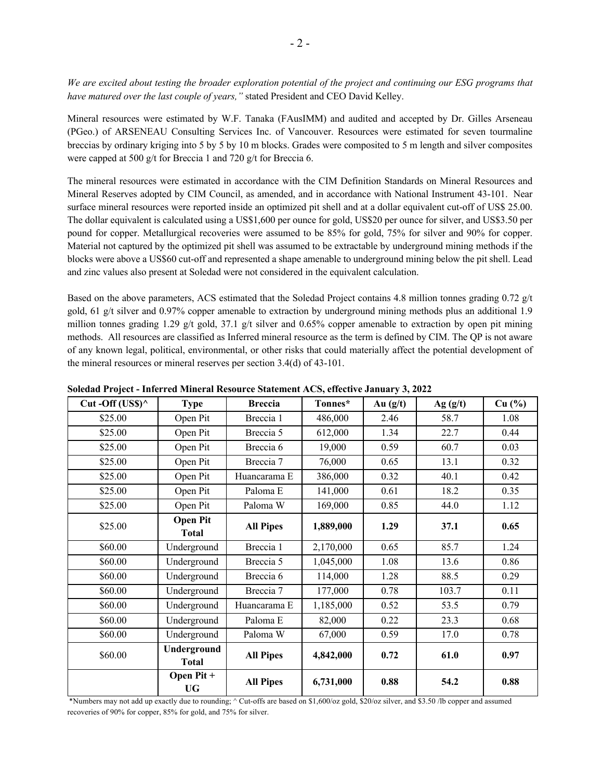*We are excited about testing the broader exploration potential of the project and continuing our ESG programs that have matured over the last couple of years,"* stated President and CEO David Kelley.

Mineral resources were estimated by W.F. Tanaka (FAusIMM) and audited and accepted by Dr. Gilles Arseneau (PGeo.) of ARSENEAU Consulting Services Inc. of Vancouver. Resources were estimated for seven tourmaline breccias by ordinary kriging into 5 by 5 by 10 m blocks. Grades were composited to 5 m length and silver composites were capped at 500 g/t for Breccia 1 and 720 g/t for Breccia 6.

The mineral resources were estimated in accordance with the CIM Definition Standards on Mineral Resources and Mineral Reserves adopted by CIM Council, as amended, and in accordance with National Instrument 43-101. Near surface mineral resources were reported inside an optimized pit shell and at a dollar equivalent cut-off of US\$ 25.00. The dollar equivalent is calculated using a US\$1,600 per ounce for gold, US\$20 per ounce for silver, and US\$3.50 per pound for copper. Metallurgical recoveries were assumed to be 85% for gold, 75% for silver and 90% for copper. Material not captured by the optimized pit shell was assumed to be extractable by underground mining methods if the blocks were above a US\$60 cut-off and represented a shape amenable to underground mining below the pit shell. Lead and zinc values also present at Soledad were not considered in the equivalent calculation.

Based on the above parameters, ACS estimated that the Soledad Project contains 4.8 million tonnes grading 0.72 g/t gold, 61 g/t silver and 0.97% copper amenable to extraction by underground mining methods plus an additional 1.9 million tonnes grading 1.29 g/t gold, 37.1 g/t silver and 0.65% copper amenable to extraction by open pit mining methods. All resources are classified as Inferred mineral resource as the term is defined by CIM. The QP is not aware of any known legal, political, environmental, or other risks that could materially affect the potential development of the mineral resources or mineral reserves per section 3.4(d) of 43-101.

| Cut-Off (US\$) $^{\wedge}$ | <b>Type</b>                     | <b>Breccia</b>      | Tonnes*   | Au $(g/t)$ | Ag(g/t) | Cu (%) |
|----------------------------|---------------------------------|---------------------|-----------|------------|---------|--------|
| \$25.00                    | Open Pit                        | Breccia 1           | 486,000   | 2.46       | 58.7    | 1.08   |
| \$25.00                    | Open Pit                        | Breccia 5           | 612,000   | 1.34       | 22.7    | 0.44   |
| \$25.00                    | Open Pit                        | Breccia 6           | 19,000    | 0.59       | 60.7    | 0.03   |
| \$25.00                    | Open Pit                        | Breccia 7           | 76,000    | 0.65       | 13.1    | 0.32   |
| \$25.00                    | Open Pit                        | Huancarama E        | 386,000   | 0.32       | 40.1    | 0.42   |
| \$25.00                    | Open Pit                        | Paloma <sub>E</sub> | 141,000   | 0.61       | 18.2    | 0.35   |
| \$25.00                    | Open Pit                        | Paloma W            | 169,000   | 0.85       | 44.0    | 1.12   |
| \$25.00                    | <b>Open Pit</b><br><b>Total</b> | <b>All Pipes</b>    | 1,889,000 | 1.29       | 37.1    | 0.65   |
| \$60.00                    | Underground                     | Breccia 1           | 2,170,000 | 0.65       | 85.7    | 1.24   |
| \$60.00                    | Underground                     | Breccia 5           | 1,045,000 | 1.08       | 13.6    | 0.86   |
| \$60.00                    | Underground                     | Breccia 6           | 114,000   | 1.28       | 88.5    | 0.29   |
| \$60.00                    | Underground                     | Breccia 7           | 177,000   | 0.78       | 103.7   | 0.11   |
| \$60.00                    | Underground                     | Huancarama E        | 1,185,000 | 0.52       | 53.5    | 0.79   |
| \$60.00                    | Underground                     | Paloma <sub>E</sub> | 82,000    | 0.22       | 23.3    | 0.68   |
| \$60.00                    | Underground                     | Paloma W            | 67,000    | 0.59       | 17.0    | 0.78   |
| \$60.00                    | Underground<br><b>Total</b>     | <b>All Pipes</b>    | 4,842,000 | 0.72       | 61.0    | 0.97   |
|                            | Open Pit +<br><b>UG</b>         | <b>All Pipes</b>    | 6,731,000 | 0.88       | 54.2    | 0.88   |

**Soledad Project - Inferred Mineral Resource Statement ACS, effective January 3, 2022** 

\*Numbers may not add up exactly due to rounding; ^ Cut-offs are based on \$1,600/oz gold, \$20/oz silver, and \$3.50 /lb copper and assumed recoveries of 90% for copper, 85% for gold, and 75% for silver.